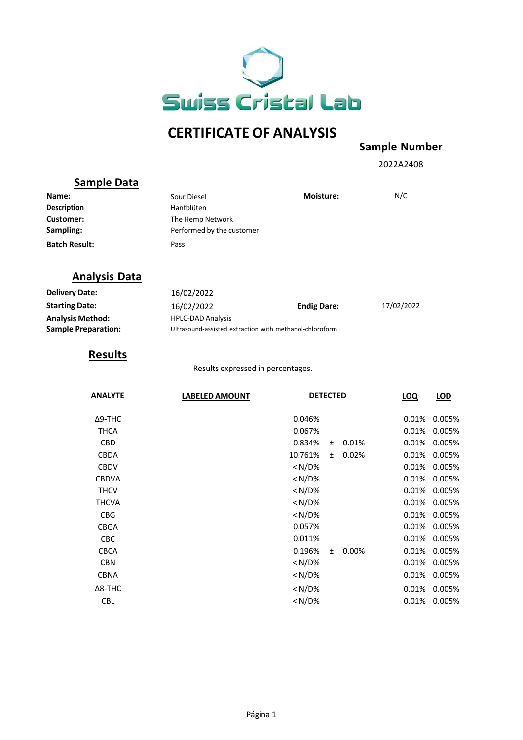

# **CERTIFICATE OF ANALYSIS**

#### **Sample Number**

2022A2408

# **Sample Data**

| Name:                | Sour Diesel               | <b>Moisture:</b> | N/C |
|----------------------|---------------------------|------------------|-----|
| <b>Description</b>   | Hanfblüten                |                  |     |
| Customer:            | The Hemp Network          |                  |     |
| Sampling:            | Performed by the customer |                  |     |
| <b>Batch Result:</b> | Pass                      |                  |     |

### **Analysis Data**

| <b>Delivery Date:</b>      | 16/02/2022                                              |                    |            |
|----------------------------|---------------------------------------------------------|--------------------|------------|
| <b>Starting Date:</b>      | 16/02/2022                                              | <b>Endig Dare:</b> | 17/02/2022 |
| <b>Analysis Method:</b>    | <b>HPLC-DAD Analysis</b>                                |                    |            |
| <b>Sample Preparation:</b> | Ultrasound-assisted extraction with methanol-chloroform |                    |            |

# **Results**

Results expressed in percentages.

| <b>ANALYTE</b> | <b>LABELED AMOUNT</b> | <b>DETECTED</b>      |       | <b>LOQ</b> | LOD    |
|----------------|-----------------------|----------------------|-------|------------|--------|
| $\Delta$ 9-THC |                       | 0.046%               |       | 0.01%      | 0.005% |
| <b>THCA</b>    |                       | 0.067%               |       | 0.01%      | 0.005% |
| <b>CBD</b>     |                       | 0.834%<br>$\pm$      | 0.01% | 0.01%      | 0.005% |
| <b>CBDA</b>    |                       | 10.761%<br>$\ddot{}$ | 0.02% | 0.01%      | 0.005% |
| <b>CBDV</b>    |                       | $<$ N/D%             |       | 0.01%      | 0.005% |
| <b>CBDVA</b>   |                       | $< N/D\%$            |       | 0.01%      | 0.005% |
| <b>THCV</b>    |                       | $< N/D\%$            |       | 0.01%      | 0.005% |
| <b>THCVA</b>   |                       | $< N/D\%$            |       | 0.01%      | 0.005% |
| <b>CBG</b>     |                       | $< N/D\%$            |       | 0.01%      | 0.005% |
| <b>CBGA</b>    |                       | 0.057%               |       | 0.01%      | 0.005% |
| <b>CBC</b>     |                       | 0.011%               |       | 0.01%      | 0.005% |
| <b>CBCA</b>    |                       | 0.196%<br>$\ddot{}$  | 0.00% | 0.01%      | 0.005% |
| <b>CBN</b>     |                       | $< N/D\%$            |       | 0.01%      | 0.005% |
| <b>CBNA</b>    |                       | $<$ N/D%             |       | 0.01%      | 0.005% |
| $\Delta$ 8-THC |                       | $< N/D\%$            |       | 0.01%      | 0.005% |
| <b>CBL</b>     |                       | $<$ N/D%             |       | 0.01%      | 0.005% |